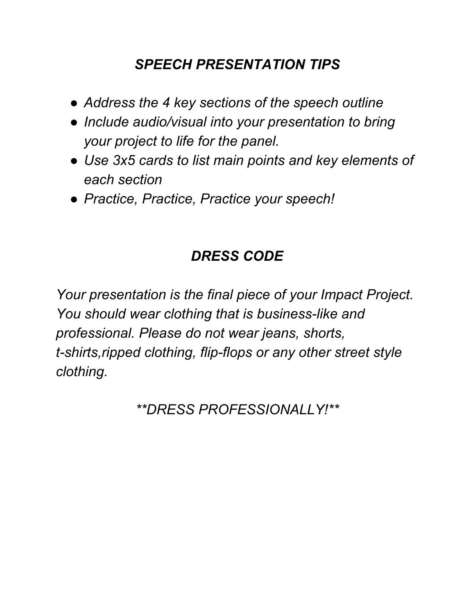## *SPEECH PRESENTATION TIPS*

- *● Address the 4 key sections of the speech outline*
- *● Include audio/visual into your presentation to bring your project to life for the panel.*
- *● Use 3x5 cards to list main points and key elements of each section*
- *● Practice, Practice, Practice your speech!*

## *DRESS CODE*

*Your presentation is the final piece of your Impact Project. You should wear clothing that is business-like and professional. Please do not wear jeans, shorts, t-shirts,ripped clothing, flip-flops or any other street style clothing.*

*\*\*DRESS PROFESSIONALLY!\*\**